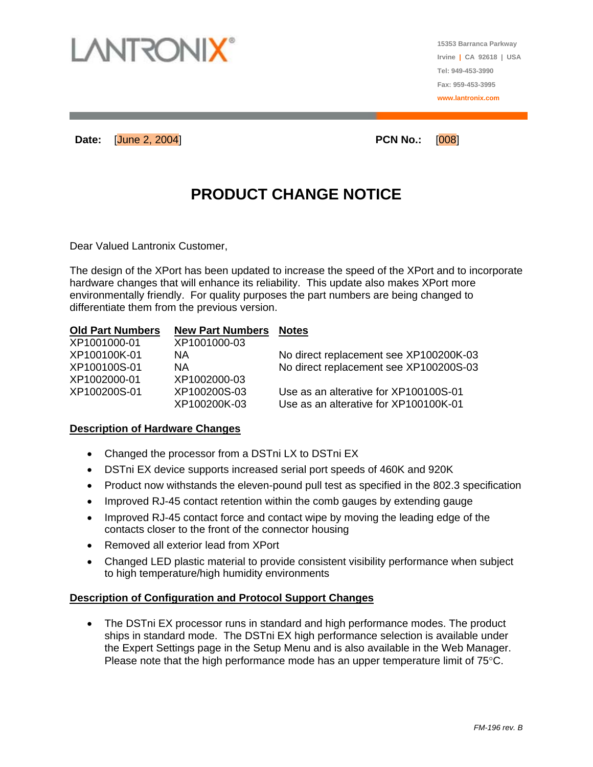

**15353 Barranca Parkway Irvine | CA 92618 | USA Tel: 949-453-3990 Fax: 959-453-3995 www.lantronix.com**

**Date:** [June 2, 2004] **PCN No.:** [008]

## **PRODUCT CHANGE NOTICE**

Dear Valued Lantronix Customer,

The design of the XPort has been updated to increase the speed of the XPort and to incorporate hardware changes that will enhance its reliability. This update also makes XPort more environmentally friendly. For quality purposes the part numbers are being changed to differentiate them from the previous version.

#### **Old Part Numbers New Part Numbers Notes**

| XP1001000-01 | XP1001000-03 |                                        |
|--------------|--------------|----------------------------------------|
| XP100100K-01 | ΝA           | No direct replacement see XP100200K-03 |
| XP100100S-01 | NA.          | No direct replacement see XP100200S-03 |
| XP1002000-01 | XP1002000-03 |                                        |
| XP100200S-01 | XP100200S-03 | Use as an alterative for XP100100S-01  |
|              | XP100200K-03 | Use as an alterative for XP100100K-01  |

#### **Description of Hardware Changes**

- Changed the processor from a DSTni LX to DSTni EX
- DSTni EX device supports increased serial port speeds of 460K and 920K
- Product now withstands the eleven-pound pull test as specified in the 802.3 specification
- Improved RJ-45 contact retention within the comb gauges by extending gauge
- Improved RJ-45 contact force and contact wipe by moving the leading edge of the contacts closer to the front of the connector housing
- Removed all exterior lead from XPort
- Changed LED plastic material to provide consistent visibility performance when subject to high temperature/high humidity environments

#### **Description of Configuration and Protocol Support Changes**

• The DSTni EX processor runs in standard and high performance modes. The product ships in standard mode. The DSTni EX high performance selection is available under the Expert Settings page in the Setup Menu and is also available in the Web Manager. Please note that the high performance mode has an upper temperature limit of 75°C.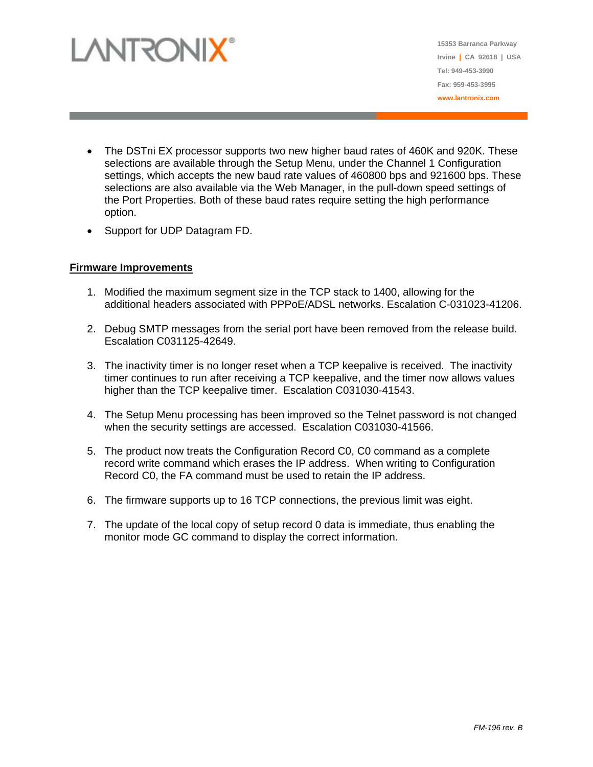

**15353 Barranca Parkway Irvine | CA 92618 | USA Tel: 949-453-3990 Fax: 959-453-3995 www.lantronix.com**

- The DSTni EX processor supports two new higher baud rates of 460K and 920K. These selections are available through the Setup Menu, under the Channel 1 Configuration settings, which accepts the new baud rate values of 460800 bps and 921600 bps. These selections are also available via the Web Manager, in the pull-down speed settings of the Port Properties. Both of these baud rates require setting the high performance option.
- Support for UDP Datagram FD.

#### **Firmware Improvements**

- 1. Modified the maximum segment size in the TCP stack to 1400, allowing for the additional headers associated with PPPoE/ADSL networks. Escalation C-031023-41206.
- 2. Debug SMTP messages from the serial port have been removed from the release build. Escalation C031125-42649.
- 3. The inactivity timer is no longer reset when a TCP keepalive is received. The inactivity timer continues to run after receiving a TCP keepalive, and the timer now allows values higher than the TCP keepalive timer. Escalation C031030-41543.
- 4. The Setup Menu processing has been improved so the Telnet password is not changed when the security settings are accessed. Escalation C031030-41566.
- 5. The product now treats the Configuration Record C0, C0 command as a complete record write command which erases the IP address. When writing to Configuration Record C0, the FA command must be used to retain the IP address.
- 6. The firmware supports up to 16 TCP connections, the previous limit was eight.
- 7. The update of the local copy of setup record 0 data is immediate, thus enabling the monitor mode GC command to display the correct information.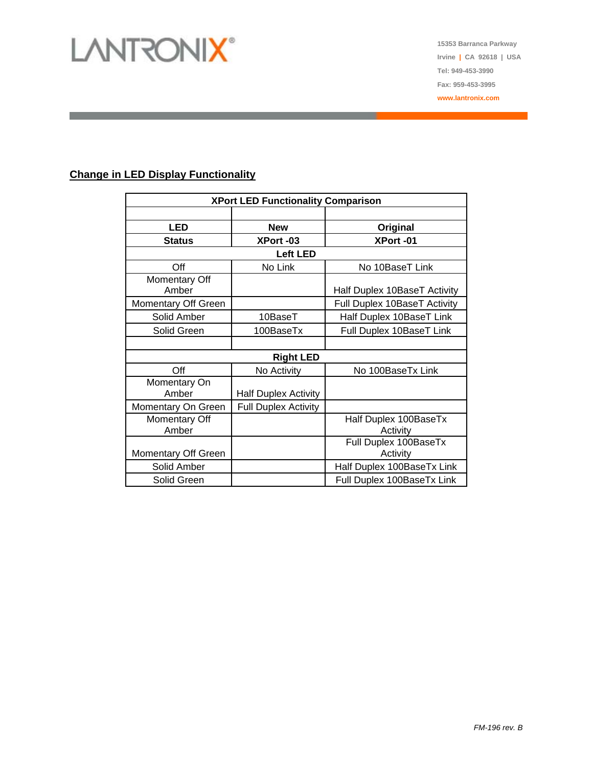# LANTRONIX®

**15353 Barranca Parkway Irvine | CA 92618 | USA Tel: 949-453-3990 Fax: 959-453-3995 www.lantronix.com**

#### **Change in LED Display Functionality**

| <b>XPort LED Functionality Comparison</b> |                             |                                   |  |
|-------------------------------------------|-----------------------------|-----------------------------------|--|
|                                           |                             |                                   |  |
| <b>LED</b>                                | <b>New</b>                  | Original                          |  |
| <b>Status</b>                             | XPort-03                    | XPort-01                          |  |
| <b>Left LED</b>                           |                             |                                   |  |
| Off                                       | No Link                     | No 10BaseT Link                   |  |
| Momentary Off<br>Amber                    |                             | Half Duplex 10BaseT Activity      |  |
| Momentary Off Green                       |                             | Full Duplex 10BaseT Activity      |  |
| Solid Amber                               | 10BaseT                     | Half Duplex 10BaseT Link          |  |
| Solid Green                               | 100BaseTx                   | Full Duplex 10BaseT Link          |  |
|                                           |                             |                                   |  |
| <b>Right LED</b>                          |                             |                                   |  |
| Off                                       | No Activity                 | No 100BaseTx Link                 |  |
| Momentary On<br>Amber                     | <b>Half Duplex Activity</b> |                                   |  |
| Momentary On Green                        | <b>Full Duplex Activity</b> |                                   |  |
| Momentary Off<br>Amber                    |                             | Half Duplex 100BaseTx<br>Activity |  |
| Momentary Off Green                       |                             | Full Duplex 100BaseTx<br>Activity |  |
| Solid Amber                               |                             | Half Duplex 100BaseTx Link        |  |
| Solid Green                               |                             | Full Duplex 100BaseTx Link        |  |